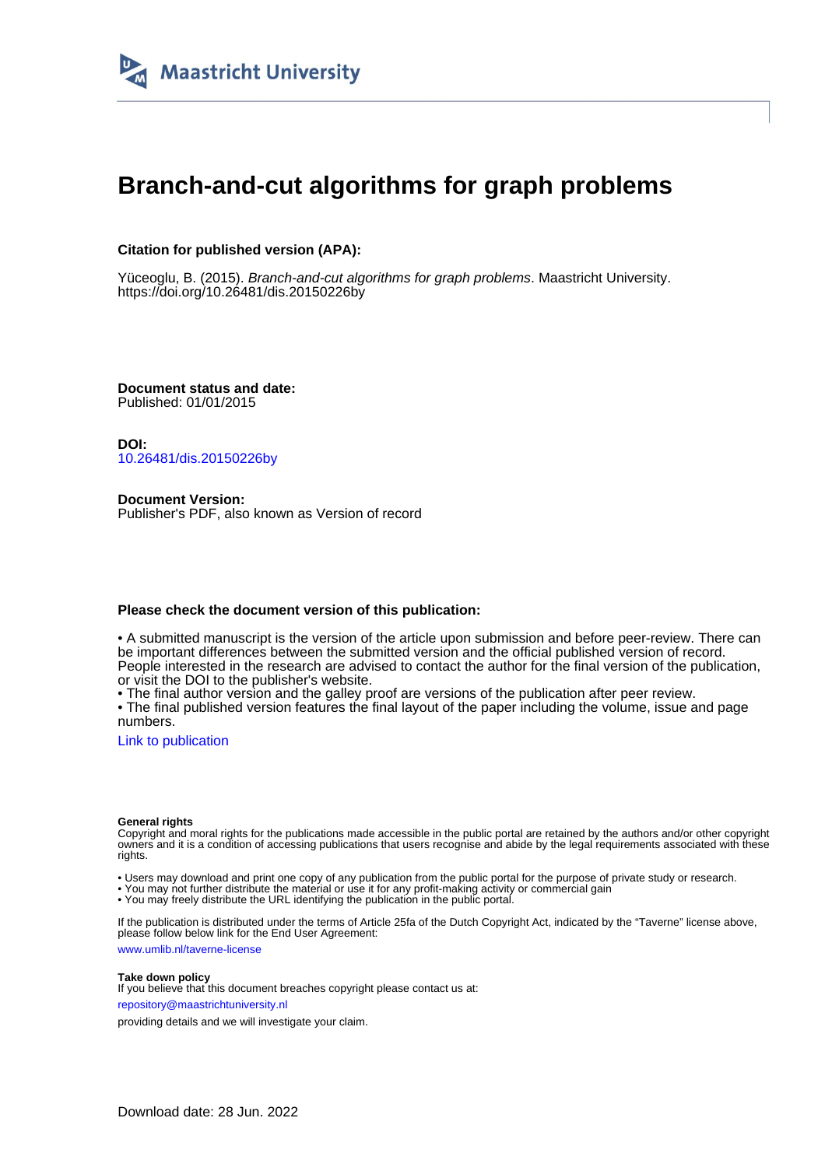

# **Branch-and-cut algorithms for graph problems**

## **Citation for published version (APA):**

Yüceoglu, B. (2015). Branch-and-cut algorithms for graph problems. Maastricht University. <https://doi.org/10.26481/dis.20150226by>

**Document status and date:** Published: 01/01/2015

**DOI:** [10.26481/dis.20150226by](https://doi.org/10.26481/dis.20150226by)

**Document Version:** Publisher's PDF, also known as Version of record

### **Please check the document version of this publication:**

• A submitted manuscript is the version of the article upon submission and before peer-review. There can be important differences between the submitted version and the official published version of record. People interested in the research are advised to contact the author for the final version of the publication, or visit the DOI to the publisher's website.

• The final author version and the galley proof are versions of the publication after peer review.

• The final published version features the final layout of the paper including the volume, issue and page numbers.

[Link to publication](https://cris.maastrichtuniversity.nl/en/publications/a4f8814a-2393-4732-bfaa-e3052b2ca3e4)

#### **General rights**

Copyright and moral rights for the publications made accessible in the public portal are retained by the authors and/or other copyright owners and it is a condition of accessing publications that users recognise and abide by the legal requirements associated with these rights.

• Users may download and print one copy of any publication from the public portal for the purpose of private study or research.

• You may not further distribute the material or use it for any profit-making activity or commercial gain

• You may freely distribute the URL identifying the publication in the public portal.

If the publication is distributed under the terms of Article 25fa of the Dutch Copyright Act, indicated by the "Taverne" license above, please follow below link for the End User Agreement:

www.umlib.nl/taverne-license

#### **Take down policy**

If you believe that this document breaches copyright please contact us at: repository@maastrichtuniversity.nl

providing details and we will investigate your claim.